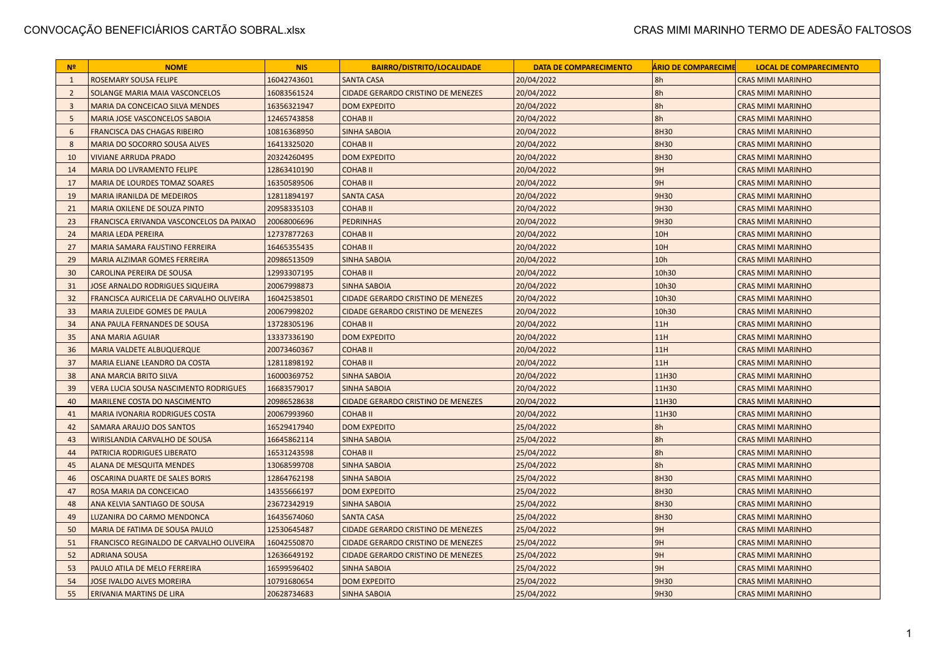| N <sup>2</sup> | <b>NOME</b>                                  | <b>NIS</b>  | <b>BAIRRO/DISTRITO/LOCALIDADE</b>         | <b>DATA DE COMPARECIMENTO</b> | <b>ÁRIO DE COMPARECIME</b> | <b>LOCAL DE COMPARECIMENTO</b> |
|----------------|----------------------------------------------|-------------|-------------------------------------------|-------------------------------|----------------------------|--------------------------------|
| $\mathbf{1}$   | ROSEMARY SOUSA FELIPE                        | 16042743601 | <b>SANTA CASA</b>                         | 20/04/2022                    | 8h                         | <b>CRAS MIMI MARINHO</b>       |
| $\overline{2}$ | SOLANGE MARIA MAIA VASCONCELOS               | 16083561524 | <b>CIDADE GERARDO CRISTINO DE MENEZES</b> | 20/04/2022                    | 8h                         | <b>CRAS MIMI MARINHO</b>       |
| $\overline{3}$ | MARIA DA CONCEICAO SILVA MENDES              | 16356321947 | <b>DOM EXPEDITO</b>                       | 20/04/2022                    | 8h                         | <b>CRAS MIMI MARINHO</b>       |
| 5              | MARIA JOSE VASCONCELOS SABOIA                | 12465743858 | <b>COHAB II</b>                           | 20/04/2022                    | 8h                         | <b>CRAS MIMI MARINHO</b>       |
| 6              | <b>FRANCISCA DAS CHAGAS RIBEIRO</b>          | 10816368950 | <b>SINHA SABOIA</b>                       | 20/04/2022                    | 8H30                       | <b>CRAS MIMI MARINHO</b>       |
| 8              | <b>MARIA DO SOCORRO SOUSA ALVES</b>          | 16413325020 | <b>COHAB II</b>                           | 20/04/2022                    | 8H30                       | <b>CRAS MIMI MARINHO</b>       |
| 10             | <b>VIVIANE ARRUDA PRADO</b>                  | 20324260495 | <b>DOM EXPEDITO</b>                       | 20/04/2022                    | 8H30                       | <b>CRAS MIMI MARINHO</b>       |
| 14             | MARIA DO LIVRAMENTO FELIPE                   | 12863410190 | <b>COHAB II</b>                           | 20/04/2022                    | 9H                         | <b>CRAS MIMI MARINHO</b>       |
| 17             | MARIA DE LOURDES TOMAZ SOARES                | 16350589506 | <b>COHAB II</b>                           | 20/04/2022                    | 9H                         | <b>CRAS MIMI MARINHO</b>       |
| 19             | <b>MARIA IRANILDA DE MEDEIROS</b>            | 12811894197 | <b>SANTA CASA</b>                         | 20/04/2022                    | 9H30                       | <b>CRAS MIMI MARINHO</b>       |
| 21             | MARIA OXILENE DE SOUZA PINTO                 | 20958335103 | <b>COHAB II</b>                           | 20/04/2022                    | 9H30                       | <b>CRAS MIMI MARINHO</b>       |
| 23             | FRANCISCA ERIVANDA VASCONCELOS DA PAIXAO     | 20068006696 | <b>PEDRINHAS</b>                          | 20/04/2022                    | 9H30                       | <b>CRAS MIMI MARINHO</b>       |
| 24             | <b>MARIA LEDA PEREIRA</b>                    | 12737877263 | <b>COHAB II</b>                           | 20/04/2022                    | 10H                        | <b>CRAS MIMI MARINHO</b>       |
| 27             | MARIA SAMARA FAUSTINO FERREIRA               | 16465355435 | <b>COHAB II</b>                           | 20/04/2022                    | 10H                        | <b>CRAS MIMI MARINHO</b>       |
| 29             | MARIA ALZIMAR GOMES FERREIRA                 | 20986513509 | <b>SINHA SABOIA</b>                       | 20/04/2022                    | 10h                        | <b>CRAS MIMI MARINHO</b>       |
| 30             | <b>CAROLINA PEREIRA DE SOUSA</b>             | 12993307195 | <b>COHABII</b>                            | 20/04/2022                    | 10h30                      | <b>CRAS MIMI MARINHO</b>       |
| 31             | <b>JOSE ARNALDO RODRIGUES SIQUEIRA</b>       | 20067998873 | <b>SINHA SABOIA</b>                       | 20/04/2022                    | 10h30                      | <b>CRAS MIMI MARINHO</b>       |
| 32             | FRANCISCA AURICELIA DE CARVALHO OLIVEIRA     | 16042538501 | <b>CIDADE GERARDO CRISTINO DE MENEZES</b> | 20/04/2022                    | 10h30                      | <b>CRAS MIMI MARINHO</b>       |
| 33             | MARIA ZULEIDE GOMES DE PAULA                 | 20067998202 | <b>CIDADE GERARDO CRISTINO DE MENEZES</b> | 20/04/2022                    | 10h30                      | <b>CRAS MIMI MARINHO</b>       |
| 34             | ANA PAULA FERNANDES DE SOUSA                 | 13728305196 | <b>COHAB II</b>                           | 20/04/2022                    | 11H                        | <b>CRAS MIMI MARINHO</b>       |
| 35             | <b>ANA MARIA AGUIAR</b>                      | 13337336190 | <b>DOM EXPEDITO</b>                       | 20/04/2022                    | 11H                        | <b>CRAS MIMI MARINHO</b>       |
| 36             | <b>MARIA VALDETE ALBUQUERQUE</b>             | 20073460367 | <b>COHAB II</b>                           | 20/04/2022                    | 11H                        | <b>CRAS MIMI MARINHO</b>       |
| 37             | MARIA ELIANE LEANDRO DA COSTA                | 12811898192 | <b>COHAB II</b>                           | 20/04/2022                    | 11H                        | <b>CRAS MIMI MARINHO</b>       |
| 38             | ANA MARCIA BRITO SILVA                       | 16000369752 | <b>SINHA SABOIA</b>                       | 20/04/2022                    | 11H30                      | <b>CRAS MIMI MARINHO</b>       |
| 39             | <b>VERA LUCIA SOUSA NASCIMENTO RODRIGUES</b> | 16683579017 | <b>SINHA SABOIA</b>                       | 20/04/2022                    | 11H30                      | <b>CRAS MIMI MARINHO</b>       |
| 40             | MARILENE COSTA DO NASCIMENTO                 | 20986528638 | <b>CIDADE GERARDO CRISTINO DE MENEZES</b> | 20/04/2022                    | 11H30                      | <b>CRAS MIMI MARINHO</b>       |
| 41             | <b>MARIA IVONARIA RODRIGUES COSTA</b>        | 20067993960 | <b>COHAB II</b>                           | 20/04/2022                    | 11H30                      | <b>CRAS MIMI MARINHO</b>       |
| 42             | SAMARA ARAUJO DOS SANTOS                     | 16529417940 | <b>DOM EXPEDITO</b>                       | 25/04/2022                    | 8h                         | <b>CRAS MIMI MARINHO</b>       |
| 43             | WIRISLANDIA CARVALHO DE SOUSA                | 16645862114 | <b>SINHA SABOIA</b>                       | 25/04/2022                    | 8h                         | <b>CRAS MIMI MARINHO</b>       |
| 44             | PATRICIA RODRIGUES LIBERATO                  | 16531243598 | <b>COHAB II</b>                           | 25/04/2022                    | 8h                         | <b>CRAS MIMI MARINHO</b>       |
| 45             | <b>ALANA DE MESQUITA MENDES</b>              | 13068599708 | <b>SINHA SABOIA</b>                       | 25/04/2022                    | 8h                         | <b>CRAS MIMI MARINHO</b>       |
| 46             | OSCARINA DUARTE DE SALES BORIS               | 12864762198 | <b>SINHA SABOIA</b>                       | 25/04/2022                    | 8H30                       | <b>CRAS MIMI MARINHO</b>       |
| 47             | ROSA MARIA DA CONCEICAO                      | 14355666197 | <b>DOM EXPEDITO</b>                       | 25/04/2022                    | 8H30                       | <b>CRAS MIMI MARINHO</b>       |
| 48             | ANA KELVIA SANTIAGO DE SOUSA                 | 23672342919 | <b>SINHA SABOIA</b>                       | 25/04/2022                    | 8H30                       | <b>CRAS MIMI MARINHO</b>       |
| 49             | LUZANIRA DO CARMO MENDONCA                   | 16435674060 | <b>SANTA CASA</b>                         | 25/04/2022                    | 8H30                       | <b>CRAS MIMI MARINHO</b>       |
| 50             | MARIA DE FATIMA DE SOUSA PAULO               | 12530645487 | <b>CIDADE GERARDO CRISTINO DE MENEZES</b> | 25/04/2022                    | 9H                         | <b>CRAS MIMI MARINHO</b>       |
| 51             | FRANCISCO REGINALDO DE CARVALHO OLIVEIRA     | 16042550870 | CIDADE GERARDO CRISTINO DE MENEZES        | 25/04/2022                    | 9H                         | <b>CRAS MIMI MARINHO</b>       |
| 52             | <b>ADRIANA SOUSA</b>                         | 12636649192 | <b>CIDADE GERARDO CRISTINO DE MENEZES</b> | 25/04/2022                    | 9H                         | <b>CRAS MIMI MARINHO</b>       |
| 53             | PAULO ATILA DE MELO FERREIRA                 | 16599596402 | <b>SINHA SABOIA</b>                       | 25/04/2022                    | 9H                         | <b>CRAS MIMI MARINHO</b>       |
| 54             | JOSE IVALDO ALVES MOREIRA                    | 10791680654 | <b>DOM EXPEDITO</b>                       | 25/04/2022                    | 9H30                       | <b>CRAS MIMI MARINHO</b>       |
| 55             | <b>ERIVANIA MARTINS DE LIRA</b>              | 20628734683 | <b>SINHA SABOIA</b>                       | 25/04/2022                    | 9H30                       | <b>CRAS MIMI MARINHO</b>       |